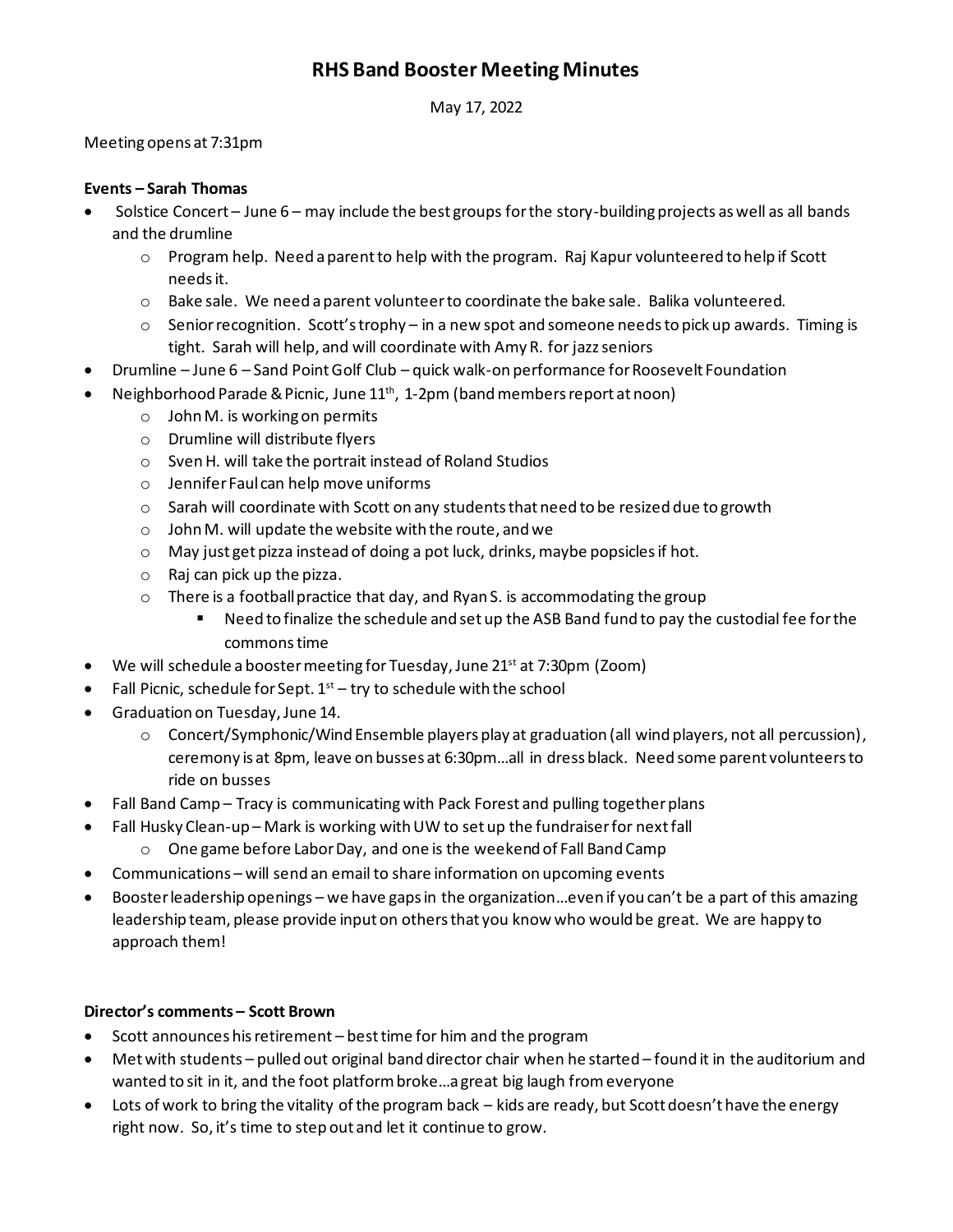# **RHS Band Booster Meeting Minutes**

May 17, 2022

## Meeting opens at 7:31pm

## **Events – Sarah Thomas**

- Solstice Concert June 6 may include the best groups for the story-building projects as well as all bands and the drumline
	- $\circ$  Program help. Need a parent to help with the program. Raj Kapur volunteered to help if Scott needsit.
	- $\circ$  Bake sale. We need a parent volunteer to coordinate the bake sale. Balika volunteered.
	- $\circ$  Senior recognition. Scott's trophy in a new spot and someone needs to pick up awards. Timing is tight. Sarah will help, and will coordinate with Amy R. for jazzseniors
- Drumline June 6 Sand Point Golf Club quick walk-on performance for Roosevelt Foundation
- Neighborhood Parade & Picnic, June 11<sup>th</sup>, 1-2pm (band members report at noon)
	- $\circ$  John M. is working on permits
	- o Drumline will distribute flyers
	- o Sven H. will take the portrait instead of Roland Studios
	- o Jennifer Faul can help move uniforms
	- $\circ$  Sarah will coordinate with Scott on any students that need to be resized due to growth
	- o John M. will update the website with the route, and we
	- o May just get pizza instead of doing a pot luck, drinks, maybe popsicles if hot.
	- o Raj can pick up the pizza.
	- o There is a football practice that day, and Ryan S. is accommodating the group
		- Need to finalize the schedule and set up the ASB Band fund to pay the custodial fee for the commons time
- We will schedule a booster meeting for Tuesday, June 21<sup>st</sup> at 7:30pm (Zoom)
- Fall Picnic, schedule for Sept.  $1<sup>st</sup>$  try to schedule with the school
- Graduation on Tuesday, June 14.
	- $\circ$  Concert/Symphonic/Wind Ensemble players play at graduation (all wind players, not all percussion), ceremony is at 8pm, leave on busses at 6:30pm…all in dress black. Need some parent volunteers to ride on busses
- Fall Band Camp Tracy is communicating with Pack Forest and pulling together plans
- Fall Husky Clean-up Mark is working with UW to set up the fundraiser for next fall
	- o One game before Labor Day, and one is the weekend of Fall Band Camp
- Communications will send an email to share information on upcoming events
- Booster leadership openings we have gaps in the organization…even if you can't be a part of this amazing leadership team, please provide input on others that you know who would be great. We are happy to approach them!

#### **Director's comments – Scott Brown**

- Scott announces his retirement best time for him and the program
- Met with students pulled out original band director chair when he started found it in the auditorium and wanted to sit in it, and the foot platform broke…a great big laugh from everyone
- Lots of work to bring the vitality of the program back kids are ready, but Scott doesn't have the energy right now. So, it's time to step out and let it continue to grow.